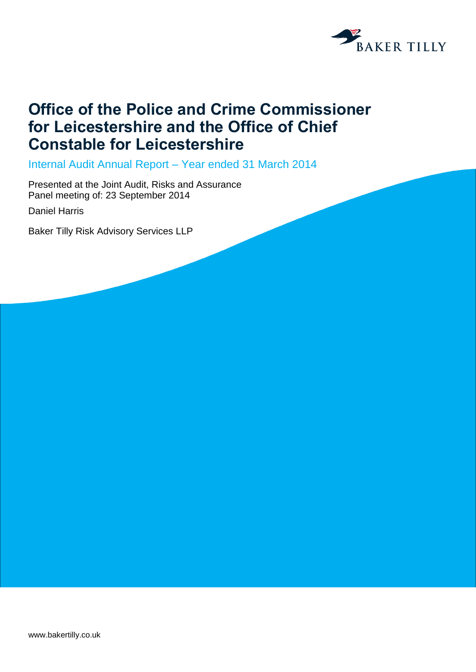

# **Office of the Police and Crime Commissioner for Leicestershire and the Office of Chief Constable for Leicestershire**

Internal Audit Annual Report – Year ended 31 March 2014

Presented at the Joint Audit, Risks and Assurance Panel meeting of: 23 September 2014

Daniel Harris

Baker Tilly Risk Advisory Services LLP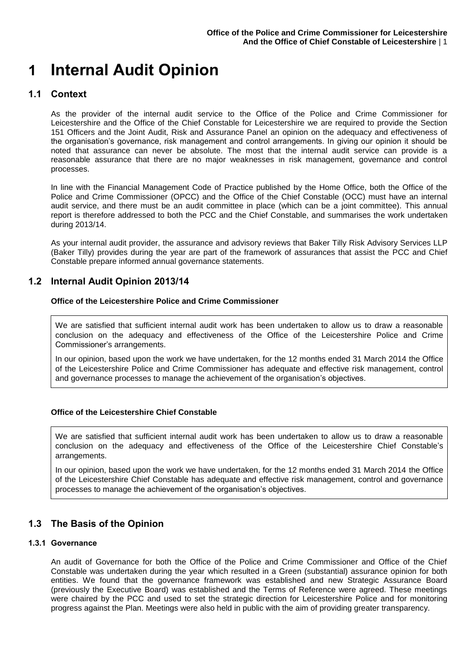# **1 Internal Audit Opinion**

### **1.1 Context**

As the provider of the internal audit service to the Office of the Police and Crime Commissioner for Leicestershire and the Office of the Chief Constable for Leicestershire we are required to provide the Section 151 Officers and the Joint Audit, Risk and Assurance Panel an opinion on the adequacy and effectiveness of the organisation's governance, risk management and control arrangements. In giving our opinion it should be noted that assurance can never be absolute. The most that the internal audit service can provide is a reasonable assurance that there are no major weaknesses in risk management, governance and control processes.

In line with the Financial Management Code of Practice published by the Home Office, both the Office of the Police and Crime Commissioner (OPCC) and the Office of the Chief Constable (OCC) must have an internal audit service, and there must be an audit committee in place (which can be a joint committee). This annual report is therefore addressed to both the PCC and the Chief Constable, and summarises the work undertaken during 2013/14.

As your internal audit provider, the assurance and advisory reviews that Baker Tilly Risk Advisory Services LLP (Baker Tilly) provides during the year are part of the framework of assurances that assist the PCC and Chief Constable prepare informed annual governance statements.

# **1.2 Internal Audit Opinion 2013/14**

#### **Office of the Leicestershire Police and Crime Commissioner**

We are satisfied that sufficient internal audit work has been undertaken to allow us to draw a reasonable conclusion on the adequacy and effectiveness of the Office of the Leicestershire Police and Crime Commissioner's arrangements.

In our opinion, based upon the work we have undertaken, for the 12 months ended 31 March 2014 the Office of the Leicestershire Police and Crime Commissioner has adequate and effective risk management, control and governance processes to manage the achievement of the organisation's objectives.

#### **Office of the Leicestershire Chief Constable**

We are satisfied that sufficient internal audit work has been undertaken to allow us to draw a reasonable conclusion on the adequacy and effectiveness of the Office of the Leicestershire Chief Constable's arrangements.

In our opinion, based upon the work we have undertaken, for the 12 months ended 31 March 2014 the Office of the Leicestershire Chief Constable has adequate and effective risk management, control and governance processes to manage the achievement of the organisation's objectives.

# **1.3 The Basis of the Opinion**

#### **1.3.1 Governance**

An audit of Governance for both the Office of the Police and Crime Commissioner and Office of the Chief Constable was undertaken during the year which resulted in a Green (substantial) assurance opinion for both entities. We found that the governance framework was established and new Strategic Assurance Board (previously the Executive Board) was established and the Terms of Reference were agreed. These meetings were chaired by the PCC and used to set the strategic direction for Leicestershire Police and for monitoring progress against the Plan. Meetings were also held in public with the aim of providing greater transparency.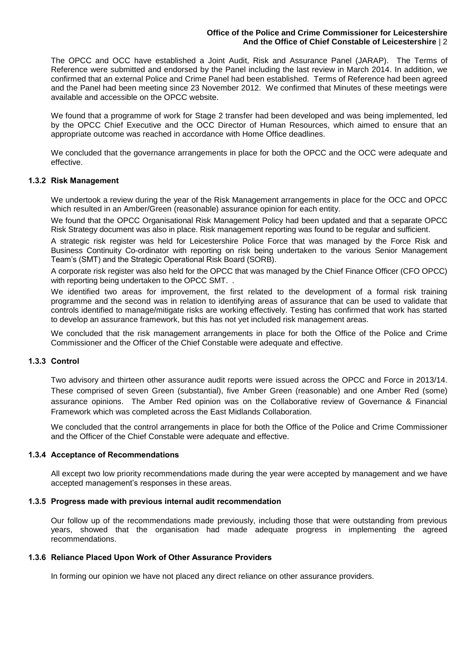#### **Office of the Police and Crime Commissioner for Leicestershire And the Office of Chief Constable of Leicestershire** | 2

The OPCC and OCC have established a Joint Audit, Risk and Assurance Panel (JARAP). The Terms of Reference were submitted and endorsed by the Panel including the last review in March 2014. In addition, we confirmed that an external Police and Crime Panel had been established. Terms of Reference had been agreed and the Panel had been meeting since 23 November 2012. We confirmed that Minutes of these meetings were available and accessible on the OPCC website.

We found that a programme of work for Stage 2 transfer had been developed and was being implemented, led by the OPCC Chief Executive and the OCC Director of Human Resources, which aimed to ensure that an appropriate outcome was reached in accordance with Home Office deadlines.

We concluded that the governance arrangements in place for both the OPCC and the OCC were adequate and effective.

#### **1.3.2 Risk Management**

We undertook a review during the year of the Risk Management arrangements in place for the OCC and OPCC which resulted in an Amber/Green (reasonable) assurance opinion for each entity.

We found that the OPCC Organisational Risk Management Policy had been updated and that a separate OPCC Risk Strategy document was also in place. Risk management reporting was found to be regular and sufficient.

A strategic risk register was held for Leicestershire Police Force that was managed by the Force Risk and Business Continuity Co-ordinator with reporting on risk being undertaken to the various Senior Management Team's (SMT) and the Strategic Operational Risk Board (SORB).

A corporate risk register was also held for the OPCC that was managed by the Chief Finance Officer (CFO OPCC) with reporting being undertaken to the OPCC SMT. .

We identified two areas for improvement, the first related to the development of a formal risk training programme and the second was in relation to identifying areas of assurance that can be used to validate that controls identified to manage/mitigate risks are working effectively. Testing has confirmed that work has started to develop an assurance framework, but this has not yet included risk management areas.

We concluded that the risk management arrangements in place for both the Office of the Police and Crime Commissioner and the Officer of the Chief Constable were adequate and effective.

#### **1.3.3 Control**

Two advisory and thirteen other assurance audit reports were issued across the OPCC and Force in 2013/14. These comprised of seven Green (substantial), five Amber Green (reasonable) and one Amber Red (some) assurance opinions. The Amber Red opinion was on the Collaborative review of Governance & Financial Framework which was completed across the East Midlands Collaboration.

We concluded that the control arrangements in place for both the Office of the Police and Crime Commissioner and the Officer of the Chief Constable were adequate and effective.

#### **1.3.4 Acceptance of Recommendations**

All except two low priority recommendations made during the year were accepted by management and we have accepted management's responses in these areas.

#### **1.3.5 Progress made with previous internal audit recommendation**

Our follow up of the recommendations made previously, including those that were outstanding from previous years, showed that the organisation had made adequate progress in implementing the agreed recommendations.

#### **1.3.6 Reliance Placed Upon Work of Other Assurance Providers**

In forming our opinion we have not placed any direct reliance on other assurance providers.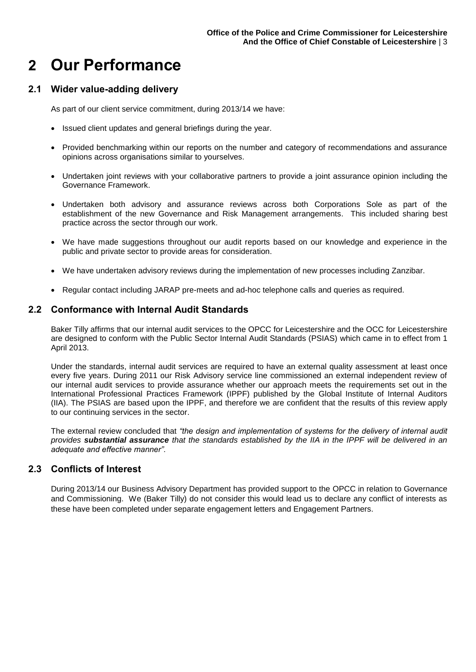# **2 Our Performance**

# **2.1 Wider value-adding delivery**

As part of our client service commitment, during 2013/14 we have:

- Issued client updates and general briefings during the year.
- Provided benchmarking within our reports on the number and category of recommendations and assurance opinions across organisations similar to yourselves.
- Undertaken joint reviews with your collaborative partners to provide a joint assurance opinion including the Governance Framework.
- Undertaken both advisory and assurance reviews across both Corporations Sole as part of the establishment of the new Governance and Risk Management arrangements. This included sharing best practice across the sector through our work.
- We have made suggestions throughout our audit reports based on our knowledge and experience in the public and private sector to provide areas for consideration.
- We have undertaken advisory reviews during the implementation of new processes including Zanzibar.
- Regular contact including JARAP pre-meets and ad-hoc telephone calls and queries as required.

### **2.2 Conformance with Internal Audit Standards**

Baker Tilly affirms that our internal audit services to the OPCC for Leicestershire and the OCC for Leicestershire are designed to conform with the Public Sector Internal Audit Standards (PSIAS) which came in to effect from 1 April 2013.

Under the standards, internal audit services are required to have an external quality assessment at least once every five years. During 2011 our Risk Advisory service line commissioned an external independent review of our internal audit services to provide assurance whether our approach meets the requirements set out in the International Professional Practices Framework (IPPF) published by the Global Institute of Internal Auditors (IIA). The PSIAS are based upon the IPPF, and therefore we are confident that the results of this review apply to our continuing services in the sector.

The external review concluded that *"the design and implementation of systems for the delivery of internal audit provides substantial assurance that the standards established by the IIA in the IPPF will be delivered in an adequate and effective manner".*

### **2.3 Conflicts of Interest**

During 2013/14 our Business Advisory Department has provided support to the OPCC in relation to Governance and Commissioning. We (Baker Tilly) do not consider this would lead us to declare any conflict of interests as these have been completed under separate engagement letters and Engagement Partners.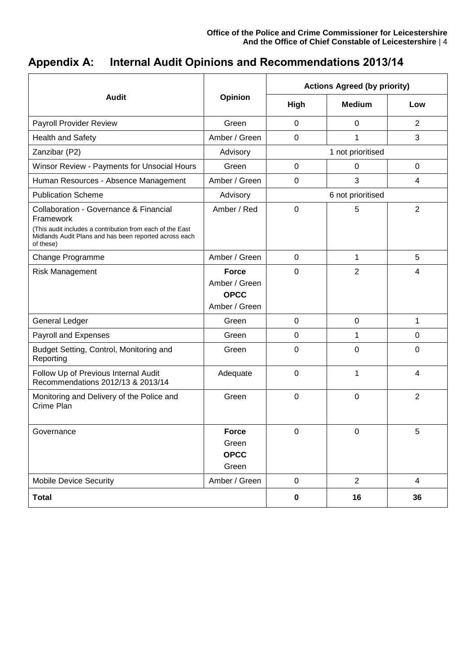# **Appendix A: Internal Audit Opinions and Recommendations 2013/14**

|                                                                                                                                                                                         |                                                               | <b>Actions Agreed (by priority)</b> |                   |                |
|-----------------------------------------------------------------------------------------------------------------------------------------------------------------------------------------|---------------------------------------------------------------|-------------------------------------|-------------------|----------------|
| <b>Audit</b>                                                                                                                                                                            | Opinion                                                       | High                                | <b>Medium</b>     | Low            |
| Payroll Provider Review                                                                                                                                                                 | Green                                                         | 0                                   | 0                 | $\overline{2}$ |
| <b>Health and Safety</b>                                                                                                                                                                | Amber / Green                                                 | $\mathbf 0$                         | 1                 | 3              |
| Zanzibar (P2)                                                                                                                                                                           | Advisory                                                      |                                     | 1 not prioritised |                |
| Winsor Review - Payments for Unsocial Hours                                                                                                                                             | Green                                                         | $\mathbf 0$                         | 0                 | $\mathbf 0$    |
| Human Resources - Absence Management                                                                                                                                                    | Amber / Green                                                 | $\mathbf 0$                         | 3                 | 4              |
| <b>Publication Scheme</b>                                                                                                                                                               | Advisory                                                      | 6 not prioritised                   |                   |                |
| Collaboration - Governance & Financial<br>Framework<br>(This audit includes a contribution from each of the East<br>Midlands Audit Plans and has been reported across each<br>of these) | Amber / Red                                                   | 0                                   | 5                 | $\overline{2}$ |
| Change Programme                                                                                                                                                                        | Amber / Green                                                 | $\mathbf 0$                         | $\mathbf 1$       | 5              |
| <b>Risk Management</b>                                                                                                                                                                  | <b>Force</b><br>Amber / Green<br><b>OPCC</b><br>Amber / Green | 0                                   | $\overline{2}$    | 4              |
| <b>General Ledger</b>                                                                                                                                                                   | Green                                                         | 0                                   | 0                 | 1              |
| Payroll and Expenses                                                                                                                                                                    | Green                                                         | $\mathbf 0$                         | 1                 | 0              |
| Budget Setting, Control, Monitoring and<br>Reporting                                                                                                                                    | Green                                                         | $\mathbf 0$                         | 0                 | 0              |
| Follow Up of Previous Internal Audit<br>Recommendations 2012/13 & 2013/14                                                                                                               | Adequate                                                      | $\mathbf 0$                         | 1                 | 4              |
| Monitoring and Delivery of the Police and<br>Crime Plan                                                                                                                                 | Green                                                         | 0                                   | 0                 | $\overline{2}$ |
| Governance                                                                                                                                                                              | <b>Force</b><br>Green<br><b>OPCC</b><br>Green                 | $\mathbf 0$                         | $\pmb{0}$         | 5              |
| <b>Mobile Device Security</b>                                                                                                                                                           | Amber / Green                                                 | $\pmb{0}$                           | $\overline{2}$    | $\overline{4}$ |
| <b>Total</b>                                                                                                                                                                            |                                                               | $\pmb{0}$                           | 16                | 36             |